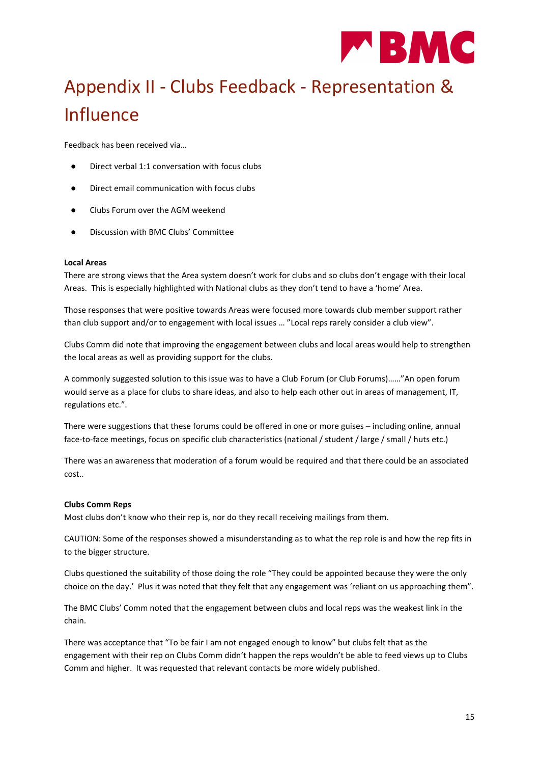

# Appendix II - Clubs Feedback - Representation & Influence

Feedback has been received via…

- Direct verbal 1:1 conversation with focus clubs
- Direct email communication with focus clubs
- Clubs Forum over the AGM weekend
- Discussion with BMC Clubs' Committee

## Local Areas

There are strong views that the Area system doesn't work for clubs and so clubs don't engage with their local Areas. This is especially highlighted with National clubs as they don't tend to have a 'home' Area.

Those responses that were positive towards Areas were focused more towards club member support rather than club support and/or to engagement with local issues … "Local reps rarely consider a club view".

Clubs Comm did note that improving the engagement between clubs and local areas would help to strengthen the local areas as well as providing support for the clubs.

A commonly suggested solution to this issue was to have a Club Forum (or Club Forums)……"An open forum would serve as a place for clubs to share ideas, and also to help each other out in areas of management, IT, regulations etc.".

There were suggestions that these forums could be offered in one or more guises – including online, annual face-to-face meetings, focus on specific club characteristics (national / student / large / small / huts etc.)

There was an awareness that moderation of a forum would be required and that there could be an associated cost..

## Clubs Comm Reps

Most clubs don't know who their rep is, nor do they recall receiving mailings from them.

CAUTION: Some of the responses showed a misunderstanding as to what the rep role is and how the rep fits in to the bigger structure.

Clubs questioned the suitability of those doing the role "They could be appointed because they were the only choice on the day.' Plus it was noted that they felt that any engagement was 'reliant on us approaching them".

The BMC Clubs' Comm noted that the engagement between clubs and local reps was the weakest link in the chain.

There was acceptance that "To be fair I am not engaged enough to know" but clubs felt that as the engagement with their rep on Clubs Comm didn't happen the reps wouldn't be able to feed views up to Clubs Comm and higher. It was requested that relevant contacts be more widely published.